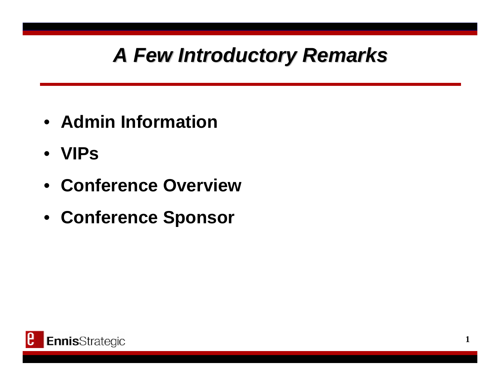## *A Few Introductory Remarks A Few Introductory Remarks*

- **Admin Information**
- **VIPs**
- **Conference Overview**
- **Conference Sponsor**

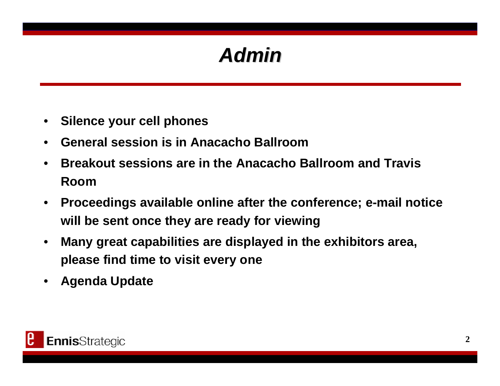### *Admin*

- •**Silence your cell phones**
- •**General session is in Anacacho Ballroom**
- • **Breakout sessions are in the Anacacho Ballroom and Travis Room**
- $\bullet$  **Proceedings available online after the conference; e-mail notice will be sent once they are ready for viewing**
- • **Many great capabilities are displayed in the exhibitors area, please find time to visit every one**
- •**Agenda Update**

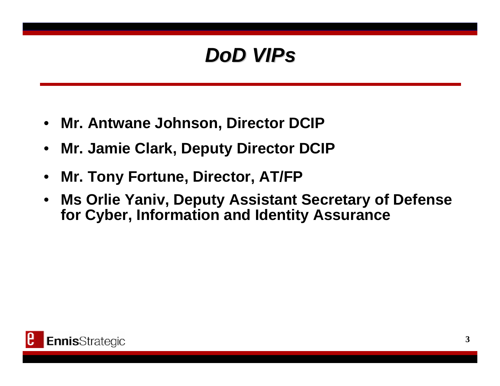### *DoD VIPs DoD VIPs*

- •**Mr. Antwane Johnson, Director DCIP**
- •**Mr. Jamie Clark, Deputy Director DCIP**
- •**Mr. Tony Fortune, Director, AT/FP**
- • **Ms Orlie Yaniv, Deputy Assistant Secretary of Defense for Cyber, Information and Identity Assurance**

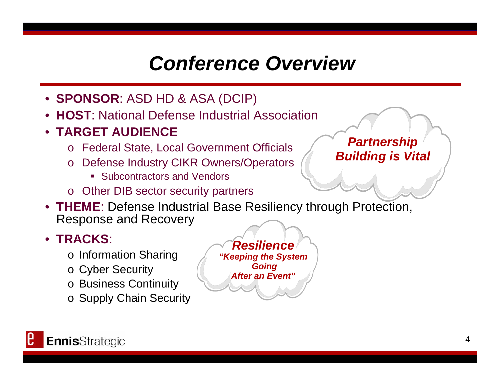### *Conference Overview*

- **SPONSOR**: ASD HD & ASA (DCIP)
- •**HOST**: National Defense Industrial Association
- **TARGET AUDIENCE**
	- <sup>o</sup> Federal State, Local Government Officials
	- <sup>o</sup> Defense Industry CIKR Owners/Operators
		- **Subcontractors and Vendors**
	- <sup>o</sup> Other DIB sector security partners
- **THEME**: Defense Industrial Base Resiliency through Protection, Response and Recovery

#### • **TRACKS**:

- <sup>o</sup> Information Sharing
- <sup>o</sup> Cyber Security
- <sup>o</sup> Business Continuity
- <sup>o</sup> Supply Chain Security



*Partnership Building is Vital*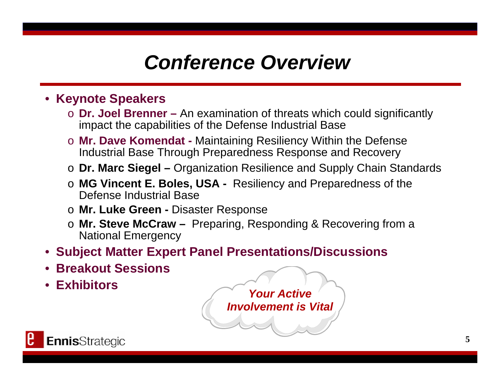### *Conference Overview*

#### • **Keynote Speakers**

- o **Dr. Joel Brenner –** An examination of threats which could significantly impact the capabilities of the Defense Industrial Base
- o **Mr. Dave Komendat -** Maintaining Resiliency Within the Defense Industrial Base Through Preparedness Response and Recovery
- o **Dr. Marc Siegel –** Organization Resilience and Supply Chain Standards
- o **MG Vincent E. Boles, USA -** Resiliency and Preparedness of the Defense Industrial Base
- o **Mr. Luke Green -** Disaster Response
- o **Mr. Steve McCraw –** Preparing, Responding & Recovering from a National Emergency
- **Subject Matter Expert Panel Presentations/Discussions**
- •**Breakout Sessions**
- •**Exhibitors**